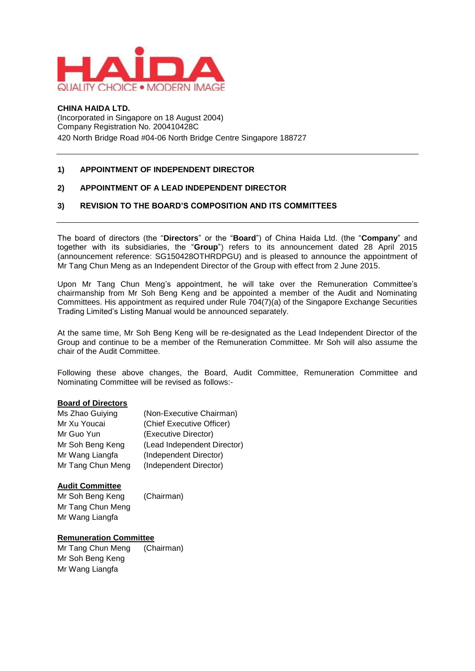

## **CHINA HAIDA LTD.** (Incorporated in Singapore on 18 August 2004) Company Registration No. 200410428C 420 North Bridge Road #04-06 North Bridge Centre Singapore 188727

# **1) APPOINTMENT OF INDEPENDENT DIRECTOR**

# **2) APPOINTMENT OF A LEAD INDEPENDENT DIRECTOR**

## **3) REVISION TO THE BOARD'S COMPOSITION AND ITS COMMITTEES**

The board of directors (the "**Directors**" or the "**Board**") of China Haida Ltd. (the "**Company**" and together with its subsidiaries, the "**Group**") refers to its announcement dated 28 April 2015 (announcement reference: SG150428OTHRDPGU) and is pleased to announce the appointment of Mr Tang Chun Meng as an Independent Director of the Group with effect from 2 June 2015.

Upon Mr Tang Chun Meng's appointment, he will take over the Remuneration Committee's chairmanship from Mr Soh Beng Keng and be appointed a member of the Audit and Nominating Committees. His appointment as required under Rule 704(7)(a) of the Singapore Exchange Securities Trading Limited's Listing Manual would be announced separately.

At the same time, Mr Soh Beng Keng will be re-designated as the Lead Independent Director of the Group and continue to be a member of the Remuneration Committee. Mr Soh will also assume the chair of the Audit Committee.

Following these above changes, the Board, Audit Committee, Remuneration Committee and Nominating Committee will be revised as follows:-

#### **Board of Directors**

| Ms Zhao Guiying   | (Non-Executive Chairman)    |
|-------------------|-----------------------------|
| Mr Xu Youcai      | (Chief Executive Officer)   |
| Mr Guo Yun        | (Executive Director)        |
| Mr Soh Beng Keng  | (Lead Independent Director) |
| Mr Wang Liangfa   | (Independent Director)      |
| Mr Tang Chun Meng | (Independent Director)      |

#### **Audit Committee**

Mr Soh Beng Keng (Chairman) Mr Tang Chun Meng Mr Wang Liangfa

#### **Remuneration Committee**

Mr Tang Chun Meng (Chairman) Mr Soh Beng Keng Mr Wang Liangfa